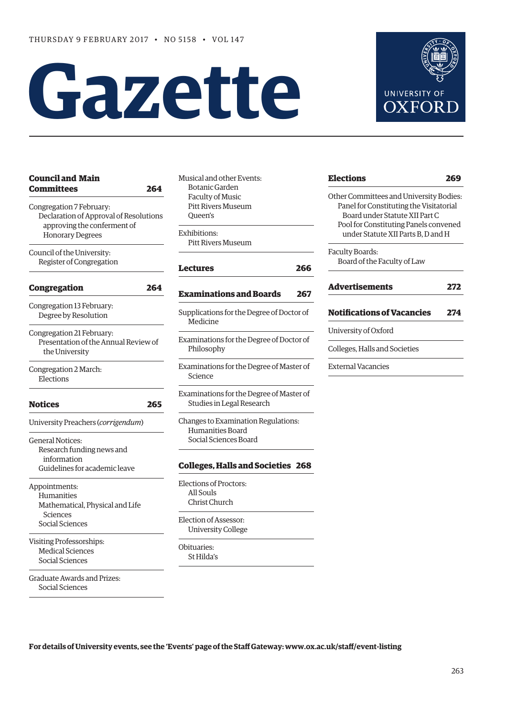# **Gazette**

| <b>Council and Main</b><br>Committees                                                                                        | 264 |
|------------------------------------------------------------------------------------------------------------------------------|-----|
| Congregation 7 February:<br>Declaration of Approval of Resolutions<br>approving the conferment of<br><b>Honorary Degrees</b> |     |
| Council of the University:<br>Register of Congregation                                                                       |     |
| <b>Congregation</b>                                                                                                          | 264 |
| Congregation 13 February:<br>Degree by Resolution                                                                            |     |
| Congregation 21 February:<br>Presentation of the Annual Review of<br>the University                                          |     |
| Congregation 2 March:<br>Elections                                                                                           |     |
|                                                                                                                              |     |
| <b>Notices</b>                                                                                                               | 265 |
| University Preachers (corrigendum)                                                                                           |     |
| <b>General Notices:</b><br>Research funding news and<br>information<br>Guidelines for academic leave                         |     |
| Appointments:<br>Humanities<br>Mathematical, Physical and Life<br>Sciences<br>Social Sciences                                |     |
| Visiting Professorships:<br><b>Medical Sciences</b><br>Social Sciences                                                       |     |

Musical and other Events: Botanic Garden Faculty of Music Pitt Rivers Museum Queen's Exhibitions:

Pitt Rivers Museum

#### **[Lectures](#page-3-0) 266**

#### **[Examinations and Boards](#page-4-0) 267**

- Supplications for the Degree of Doctor of Medicine
- Examinations for the Degree of Doctor of Philosophy

Examinations for the Degree of Master of Science

Examinations for the Degree of Master of Studies in Legal Research

Changes to Examination Regulations: Humanities Board Social Sciences Board

#### **[Colleges, Halls and Societies](#page-5-0) 268**

Elections of Proctors: All Souls Christ Church

Election of Assessor: University College

Obituaries: St Hilda's

| UNIVERSITY OF<br>OXFORD |
|-------------------------|

| <b>Elections</b>                                                          | 269 |
|---------------------------------------------------------------------------|-----|
| Other Committees and University Bodies:                                   |     |
| Panel for Constituting the Visitatorial<br>Board under Statute XII Part C |     |
| Pool for Constituting Panels convened                                     |     |
| under Statute XII Parts B, D and H                                        |     |
| Faculty Boards:                                                           |     |
| Board of the Faculty of Law                                               |     |
| <b>Advertisements</b>                                                     | 272 |
| <b>Notifications of Vacancies</b>                                         | 274 |
| University of Oxford                                                      |     |
| Colleges, Halls and Societies                                             |     |
| <b>External Vacancies</b>                                                 |     |
|                                                                           |     |

**For details of University events, see the 'Events' page of the Staff Gateway: [www.ox.ac.uk/staff/event-listing](http://www.ox.ac.uk/staff/event-listing)**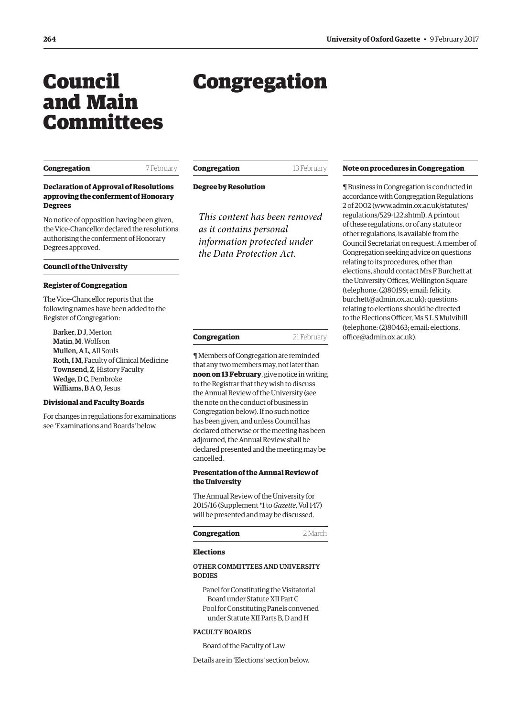## <span id="page-1-0"></span>Council and Main Committees

## Congregation

#### **Congregation** 7 February

#### **Congregation** 13 February

**Degree by Resolution**

#### **Declaration of Approval of Resolutions approving the conferment of Honorary Degrees**

No notice of opposition having been given, the Vice-Chancellor declared the resolutions authorising the conferment of Honorary Degrees approved.

#### **Council of the University**

#### **Register of Congregation**

The Vice-Chancellor reports that the following names have been added to the Register of Congregation:

Barker, D J, Merton Matin, M, Wolfson Mullen, A L, All Souls Roth, I M, Faculty of Clinical Medicine Townsend, Z, History Faculty Wedge, DC, Pembroke Williams, B A O, Jesus

#### **Divisional and Faculty Boards**

For changes in regulations for examinations see ['Examinations and Boards'](#page-4-0) below.

*This content has been removed as it contains personal information protected under the Data Protection Act.*

| Congregation | 21 February |
|--------------|-------------|

¶ Members of Congregation are reminded that any two members may, not later than **noon on 13 February**, give notice in writing to the Registrar that they wish to discuss the Annual Review of the University (see the note on the conduct of business in Congregation below). If no such notice has been given, and unless Council has declared otherwise or the meeting has been adjourned, the Annual Review shall be declared presented and the meeting may be cancelled.

#### **Presentation of the Annual Review of the University**

The Annual Review of the University for 2015/16 ([Supplement \\*1 to](http://www.ox.ac.uk/about/organisation/annual-review) *Gazette*, Vol 147) will be presented and may be discussed.

#### **Congregation** 2 March

#### **Elections**

#### OTHER COMMITTEES AND UNIVERSITY BODIES

Panel for Constituting the Visitatorial Board under Statute XII Part C Pool for Constituting Panels convened under Statute XII Parts B, D and H

#### FACULTY BOARDS

Board of the Faculty of Law

Details are in ['Elections'](#page-6-0) section below.

#### **Note on procedures in Congregation**

¶ Business in Congregation is conducted in accordance with Congregation Regulations 2 of 2002 [\(www.admin.ox.ac.uk/statutes/](http://www.admin.ox.ac.uk/statutes/regulations/529-122.shtml) [regulations/529-122.shtml\). A p](http://www.admin.ox.ac.uk/statutes/regulations/529-122.shtml)rintout of these regulations, or of any statute or other regulations, is available from the Council Secretariat on request. A member of Congregation seeking advice on questions relating to its procedures, other than elections, should contact Mrs F Burchett at the University Offices, Wellington Square (telephone: (2)80199; email: felicity. [burchett@admin.ox.ac.uk\); questions](mailto:felicity.burchett@admin.ox.ac.uk)  relating to elections should be directed to the Elections Officer, Ms S L S Mulvihill [\(telephone: \(2\)80463; email: elections.](mailto:elections.office@admin.ox.ac.uk) office@admin.ox.ac.uk).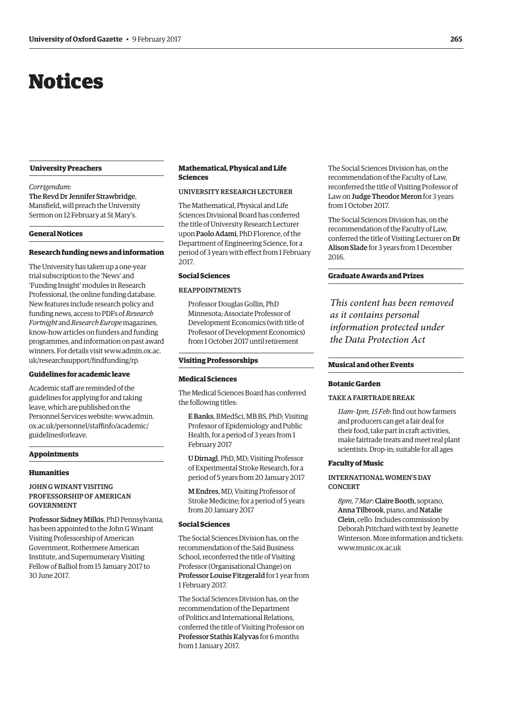## <span id="page-2-0"></span>Notices

#### **University Preachers**

#### *Corrigendum:*

The Revd Dr Jennifer Strawbridge, Mansfield, will preach the University Sermon on 12 February at St Mary's.

#### **General Notices**

#### **Research funding news and information**

The University has taken up a one-year trial subscription to the 'News' and 'Funding Insight' modules in Research Professional, the online funding database. New features include research policy and funding news, access to PDFs of *Research Fortnight* and *Research Europe* magazines, know-how articles on funders and funding programmes, and information on past award [winners. For details visit www.admin.ox.ac.](www.admin.ox.ac.uk/researchsupport/findfunding/rp) uk/researchsupport/findfunding/rp.

#### **Guidelines for academic leave**

Academic staff are reminded of the guidelines for applying for and taking leave, which are published on the [Personnel Services website: www.admin.](www.admin.ox.ac.uk/personnel/staffinfo/academic/guidelinesforleave) ox.ac.uk/personnel/staffinfo/academic/ guidelinesforleave.

#### **Appointments**

#### **Humanities**

#### JOHN G WINANT VISITING PROFESSORSHIP OF AMERICAN GOVERNMENT

Professor Sidney Milkis, PhD Pennsylvania, has been appointed to the John G Winant Visiting Professorship of American Government, Rothermere American Institute, and Supernumerary Visiting Fellow of Balliol from 15 January 2017 to 30 June 2017.

#### **Mathematical, Physical and Life Sciences**

#### UNIVERSITY RESEARCH LECTURER

The Mathematical, Physical and Life Sciences Divisional Board has conferred the title of University Research Lecturer upon Paolo Adami, PhD Florence, of the Department of Engineering Science, for a period of 3 years with effect from 1 February 2017.

#### **Social Sciences**

#### REAPPOINTMENTS

Professor Douglas Gollin, PhD Minnesota; Associate Professor of Development Economics (with title of Professor of Development Economics) from 1 October 2017 until retirement

#### **Visiting Professorships**

#### **Medical Sciences**

The Medical Sciences Board has conferred the following titles:

E Banks, BMedSci, MB BS, PhD; Visiting Professor of Epidemiology and Public Health, for a period of 3 years from 1 February 2017

U Dirnagl, PhD, MD; Visiting Professor of Experimental Stroke Research, for a period of 5 years from 20 January 2017

M Endres, MD, Visiting Professor of Stroke Medicine; for a period of 5 years from 20 January 2017

#### **Social Sciences**

The Social Sciences Division has, on the recommendation of the Saïd Business School, reconferred the title of Visiting Professor (Organisational Change) on Professor Louise Fitzgerald for 1 year from 1 February 2017.

The Social Sciences Division has, on the recommendation of the Department of Politics and International Relations, conferred the title of Visiting Professor on Professor Stathis Kalyvas for 6 months from 1 January 2017.

The Social Sciences Division has, on the recommendation of the Faculty of Law, reconferred the title of Visiting Professor of Law on Judge Theodor Meron for 3 years from 1 October 2017.

The Social Sciences Division has, on the recommendation of the Faculty of Law, conferred the title of Visiting Lecturer on Dr Alison Slade for 3 years from 1 December 2016.

#### **Graduate Awards and Prizes**

*This content has been removed as it contains personal information protected under the Data Protection Act*

#### **Musical and other Events**

#### **Botanic Garden**

#### TAKE A FAIRTRADE BREAK

*11am–1pm, 15 Feb*: find out how farmers and producers can get a fair deal for their food, take part in craft activities, make fairtrade treats and meet real plant scientists. Drop-in; suitable for all ages

#### **Faculty of Music**

#### INTERNATIONAL WOMEN'S DAY **CONCERT**

*8pm, 7 Mar*: Claire Booth, soprano, Anna Tilbrook, piano, and Natalie Clein, cello. Includes commission by Deborah Pritchard with text by Jeanette Winterson. More information and tickets: [www.music.ox.ac.uk](http://www.music.ox.ac.uk)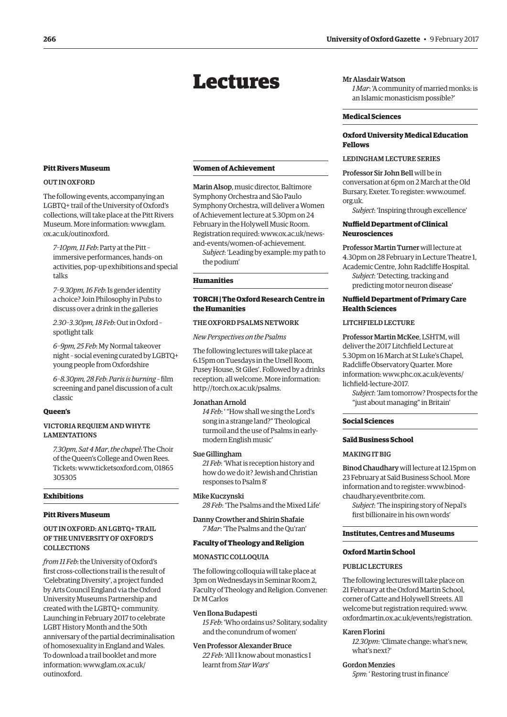## Lectures

#### <span id="page-3-0"></span>**Pitt Rivers Museum**

#### OUT IN OXFORD

The following events, accompanying an LGBTQ+ trail of the University of Oxford's collections, will take place at the Pitt Rivers [Museum. More information: www.glam.](www.glam.ox.ac.uk/outinoxford) ox.ac.uk/outinoxford.

*7–10pm, 11 Feb*: Party at the Pitt – immersive performances, hands–on activities, pop–up exhibitions and special talks

*7–9.30pm, 16 Feb*: Is gender identity a choice? Join Philosophy in Pubs to discuss over a drink in the galleries

*2.30–3.30pm, 18 Feb*: Out in Oxford – spotlight talk

*6–9pm, 25 Feb*: My Normal takeover night – social evening curated by LGBTQ+ young people from Oxfordshire

*6–8.30pm, 28 Feb*: *Paris is burning* – film screening and panel discussion of a cult classic

#### **Queen's**

#### VICTORIA REQUIEM AND WHYTE LAMENTATIONS

*7.30pm, Sat 4 Mar*, *the chapel*: The Choir of the Queen's College and Owen Rees. Tickets: [www.ticketsoxford.com, 01](http://www.ticketsoxford.com)865 305305

#### **Exhibitions**

#### **Pitt Rivers Museum**

#### OUT IN OXFORD: AN LGBTQ+ TRAIL OF THE UNIVERSITY OF OXFORD'S **COLLECTIONS**

*from 11 Feb*: the University of Oxford's first cross-collections trail is the result of 'Celebrating Diversity', a project funded by Arts Council England via the Oxford University Museums Partnership and created with the LGBTQ+ community. Launching in February 2017 to celebrate LGBT History Month and the 50th anniversary of the partial decriminalisation of homosexuality in England and Wales. To download a trail booklet and more [information: www.glam.ox.ac.uk/](www.glam.ox.ac.uk/outinoxford) outinoxford.

#### **Women of Achievement**

Marin Alsop, music director, Baltimore Symphony Orchestra and São Paulo Symphony Orchestra, will deliver a Women of Achievement lecture at 5.30pm on 24 February in the Holywell Music Room. [Registration required: www.ox.ac.uk/news](www.ox.ac.uk/news-and-events/women-of-achievement)and-events/women-of-achievement.

*Subject*: 'Leading by example: my path to the podium'

#### **Humanities**

#### **TORCH | The Oxford Research Centre in the Humanities**

#### THE OXFORD PSALMS NETWORK

*New Perspectives on the Psalms* 

The following lectures will take place at 6.15pm on Tuesdays in the Ursell Room, Pusey House, St Giles'. Followed by a drinks reception; all welcome. More information: [http://torch.ox.ac.uk/psalms.](http://torch.ox.ac.uk/psalms)

#### Jonathan Arnold

*14 Feb*: ' "How shall we sing the Lord's song in a strange land?" Theological turmoil and the use of Psalms in earlymodern English music'

#### Sue Gillingham

*21 Feb*: 'What is reception history and how do we do it? Jewish and Christian responses to Psalm 8'

#### Mike Kuczynski

*28 Feb*: 'The Psalms and the Mixed Life'

Danny Crowther and Shirin Shafaie *7 Mar*: 'The Psalms and the Qu'ran'

#### **Faculty of Theology and Religion**

#### MONASTIC COLLOQUIA

The following colloquia will take place at 3pm on Wednesdays in Seminar Room 2, Faculty of Theology and Religion. Convener: Dr M Carlos

#### Ven Ilona Budapesti

*15 Feb*: 'Who ordains us? Solitary, sodality and the conundrum of women'

Ven Professor Alexander Bruce *22 Feb*: 'All I know about monastics I learnt from *Star Wars*'

#### Mr Alasdair Watson

*1 Mar*: 'A community of married monks: is an Islamic monasticism possible?'

#### **Medical Sciences**

#### **Oxford University Medical Education Fellows**

#### LEDINGHAM LECTURE SERIES

Professor Sir John Bell will be in conversation at 6pm on 2 March at the Old [Bursary, Exeter. To register: www.oumef.](www.oumef.org.uk) org.uk.

*Subject*: 'Inspiring through excellence'

#### **Nuffield Department of Clinical Neurosciences**

Professor Martin Turner will lecture at

- 4.30pm on 28 February in Lecture Theatre 1,
- Academic Centre, John Radcliffe Hospital. *Subject*: 'Detecting, tracking and predicting motor neuron disease'

#### **Nuffield Department of Primary Care Health Sciences**

#### LITCHFIELD LECTURE

Professor Martin McKee, LSHTM, will deliver the 2017 Litchfield Lecture at 5.30pm on 16 March at St Luke's Chapel, Radcliffe Observatory Quarter. More [information: www.phc.ox.ac.uk/events/](www.phc.ox.ac.uk/events/lichfield-lecture-2017) lichfield-lecture-2017.

*Subject*: 'Jam tomorrow? Prospects for the "just about managing" in Britain'

#### **Social Sciences**

#### **Saïd Business School**

#### MAKING IT BIG

Binod Chaudhary will lecture at 12.15pm on 23 February at Saïd Business School. More [information and to register: www.binod](www.binod-chaudhary.eventbrite.com)chaudhary.eventbrite.com.

*Subject*: 'The inspiring story of Nepal's first billionaire in his own words'

#### **Institutes, Centres and Museums**

#### **Oxford Martin School**

#### PUBLIC LECTURES

The following lectures will take place on 21 February at the Oxford Martin School, corner of Catte and Holywell Streets. All welcome but registration required: [www.](http://www.oxfordmartin.ox.ac.uk/events/registration) [oxfordmartin.ox.ac.uk/events/registration.](http://www.oxfordmartin.ox.ac.uk/events/registration)

#### Karen Florini

*12.30pm*: 'Climate change: what's new, what's next?'

#### Gordon Menzies

*5pm*: ' Restoring trust in finance'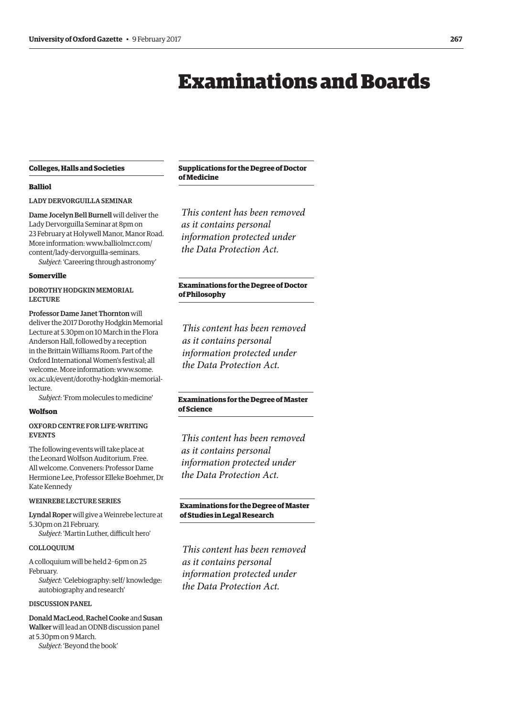## Examinations and Boards

#### <span id="page-4-0"></span>**Colleges, Halls and Societies**

#### **Balliol**

LADY DERVORGUILLA SEMINAR

Dame Jocelyn Bell Burnell will deliver the Lady Dervorguilla Seminar at 8pm on 23 February at Holywell Manor, Manor Road. [More information: www.balliolmcr.com/](www.balliolmcr.com/content/lady-dervorguilla-seminars) content/lady-dervorguilla-seminars.

*Subject*: 'Careering through astronomy'

#### **Somerville**

DOROTHY HODGKIN MEMORIAL LECTURE

Professor Dame Janet Thornton will deliver the 2017 Dorothy Hodgkin Memorial Lecture at 5.30pm on 10 March in the Flora Anderson Hall, followed by a reception in the Brittain Williams Room. Part of the Oxford International Women's festival; all welcome. More information: www.some. [ox.ac.uk/event/dorothy-hodgkin-memorial](www.some.ox.ac.uk/event/dorothy-hodgkin-memorial-lecture)lecture.

*Subject*: 'From molecules to medicine'

#### **Wolfson**

#### OXFORD CENTRE FOR LIFE-WRITING EVENTS

The following events will take place at the Leonard Wolfson Auditorium. Free. All welcome. Conveners: Professor Dame Hermione Lee, Professor Elleke Boehmer, Dr Kate Kennedy

#### WEINREBE LECTURE SERIES

Lyndal Roper will give a Weinrebe lecture at 5.30pm on 21 February.

*Subject*: 'Martin Luther, difficult hero'

#### COLLOQUIUM

A colloquium will be held 2–6pm on 25 February.

*Subject*: 'Celebiography: self/ knowledge: autobiography and research'

#### DISCUSSION PANEL

Donald MacLeod, Rachel Cooke and Susan Walker will lead an ODNB discussion panel at 5.30pm on 9 March.

*Subject*: 'Beyond the book'

**Supplications for the Degree of Doctor of Medicine**

*This content has been removed as it contains personal information protected under the Data Protection Act.*

#### **Examinations for the Degree of Doctor of Philosophy**

*This content has been removed as it contains personal information protected under the Data Protection Act.*

#### **Examinations for the Degree of Master of Science**

*This content has been removed as it contains personal information protected under the Data Protection Act.*

#### **Examinations for the Degree of Master of Studies in Legal Research**

*This content has been removed as it contains personal information protected under the Data Protection Act.*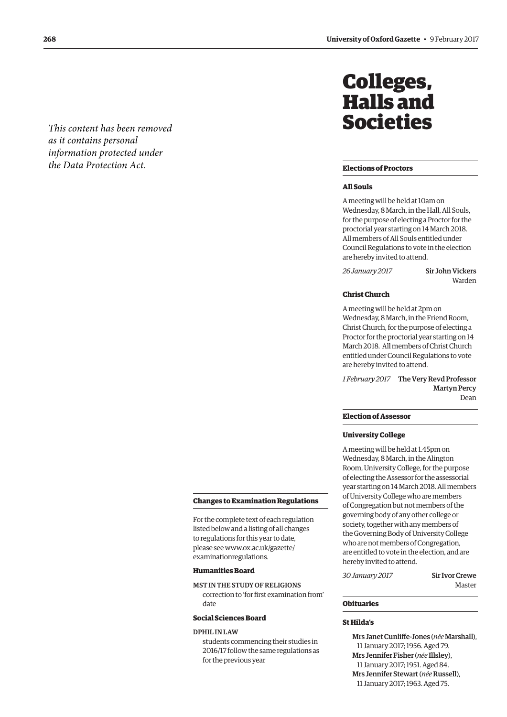<span id="page-5-0"></span>*This content has been removed as it contains personal information protected under the Data Protection Act.*

## Colleges, Halls and Societies

#### **Elections of Proctors**

#### **All Souls**

A meeting will be held at 10am on Wednesday, 8 March, in the Hall, All Souls, for the purpose of electing a Proctor for the proctorial year starting on 14 March 2018. All members of All Souls entitled under Council Regulations to vote in the election are hereby invited to attend.

*26 January 2017* Sir John Vickers Warden

#### **Christ Church**

A meeting will be held at 2pm on Wednesday, 8 March, in the Friend Room, Christ Church, for the purpose of electing a Proctor for the proctorial year starting on 14 March 2018. All members of Christ Church entitled under Council Regulations to vote are hereby invited to attend.

*1 February 2017* The Very Revd Professor Martyn Percy Dean

#### **Election of Assessor**

#### **University College**

A meeting will be held at 1.45pm on Wednesday, 8 March, in the Alington Room, University College, for the purpose of electing the Assessor for the assessorial year starting on 14 March 2018. All members of University College who are members of Congregation but not members of the governing body of any other college or society, together with any members of the Governing Body of University College who are not members of Congregation, are entitled to vote in the election, and are hereby invited to attend.

*30 January 2017*  Sir Ivor Crewe

Master

### **Obituaries**

#### **St Hilda's**

Mrs Janet Cunliffe-Jones (*née* Marshall), 11 January 2017; 1956. Aged 79. Mrs Jennifer Fisher (*née* Illsley), 11 January 2017; 1951. Aged 84. Mrs Jennifer Stewart (*née* Russell), 11 January 2017; 1963. Aged 75.

#### **Changes to Examination Regulations**

For the complete text of each regulation listed below and a listing of all changes to regulations for this year to date, [please see www.ox.ac.uk/gazette/](www.ox.ac.uk/gazette/examinationregulations) examinationregulations.

#### **Humanities Board**

MST IN THE STUDY OF RELIGIONS correction to 'for first examination from' date

#### **Social Sciences Board**

#### DPHIL IN LAW

students commencing their studies in 2016/17 follow the same regulations as for the previous year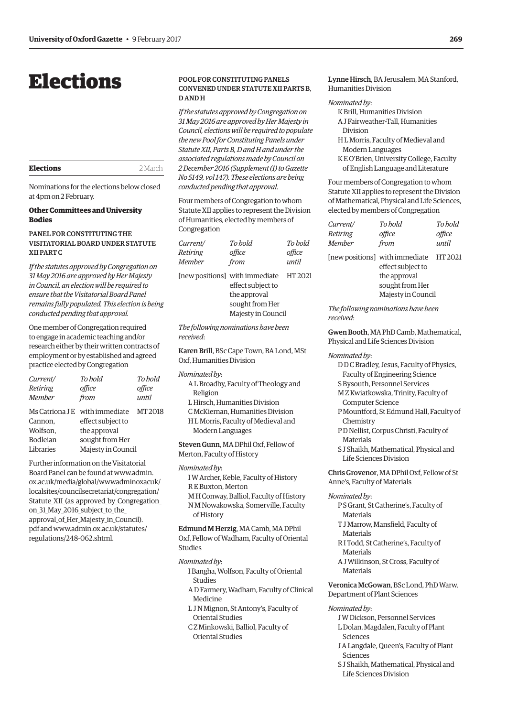## <span id="page-6-0"></span>Elections

| <b>Elections</b> | 2 March |
|------------------|---------|
|                  |         |

Nominations for the elections below closed at 4pm on 2 February.

#### **Other Committees and University Bodies**

#### PANEL FOR CONSTITUTING THE VISITATORIAL BOARD UNDER STATUTE XII PART C

*If the statutes approved by Congregation on 31 May 2016 are approved by Her Majesty in Council, an election will be required to ensure that the Visitatorial Board Panel remains fully populated. This election is being conducted pending that approval.*

One member of Congregation required to engage in academic teaching and/or research either by their written contracts of employment or by established and agreed practice elected by Congregation

| To hold                        | To hold            |
|--------------------------------|--------------------|
| office                         | office             |
| from                           | until              |
| Ms Catriona J E with immediate | MT 2018            |
| effect subject to              |                    |
| the approval                   |                    |
| sought from Her                |                    |
|                                |                    |
|                                | Majesty in Council |

Further information on the Visitatorial Board Panel can be found at www.admin. ox.ac.uk/media/global/wwwadminoxacuk/ localsites/councilsecretariat/congregation/ [Statute\\_XII\\_\(as\\_approved\\_by\\_Congregation\\_](www.admin.ox.ac.uk/media/global/wwwadminoxoacuk/localsites/councilsecretariat/congregation/Statute_XII_(as_approved_by_Congregation_on_31_May_2016_subject_to_the_approval_of_Her_Majesty_in_Council).pdf) on\_31\_May\_2016\_subject\_to\_the\_ approval\_of\_Her\_Majesty\_in\_Council). [pdf and www.admin.ox.ac.uk/statutes/](www.admin.ox.ac.uk/statutes/regulations/248-062.shtml) regulations/248-062.shtml.

#### POOL FOR CONSTITUTING PANELS CONVENED UNDER STATUTE XII PARTS B, D AND H

*If the statutes approved by Congregation on 31 May 2016 are approved by Her Majesty in Council, elections will be required to populate the new Pool for Constituting Panels under Statute XII, Parts B, D and H and under the associated regulations made by Council on [2 December 2016 \(Supplement \(1\) to Gazette](http://www.ox.ac.uk/gazette/2016-2017/17november2016-no5150/supplements/#245211)  No 5149, vol 147). These elections are being conducted pending that approval.*

Four members of Congregation to whom Statute XII applies to represent the Division of Humanities, elected by members of Congregation

| <i>Current/</i> | To hold | To hold |
|-----------------|---------|---------|
| Retiring        | office  | office  |
| Member          | from    | until   |

[new positions] with immediate HT 2021 effect subject to the approval sought from Her Majesty in Council

*The following nominations have been received*:

Karen Brill, BSc Cape Town, BA Lond, MSt Oxf, Humanities Division

*Nominated by*:

A L Broadby, Faculty of Theology and Religion L Hirsch, Humanities Division C McKiernan, Humanities Division

H L Morris, Faculty of Medieval and Modern Languages

Steven Gunn, MA DPhil Oxf, Fellow of Merton, Faculty of History

#### *Nominated by*:

I W Archer, Keble, Faculty of History R E Buxton, Merton M H Conway, Balliol, Faculty of History N M Nowakowska, Somerville, Faculty of History

Edmund M Herzig, MA Camb, MA DPhil Oxf, Fellow of Wadham, Faculty of Oriental Studies

#### *Nominated by*:

I Bangha, Wolfson, Faculty of Oriental Studies

- A D Farmery, Wadham, Faculty of Clinical Medicine
- L J N Mignon, St Antony's, Faculty of Oriental Studies
- C Z Minkowski, Balliol, Faculty of Oriental Studies

Lynne Hirsch, BA Jerusalem, MA Stanford, Humanities Division

#### *Nominated by*:

K Brill, Humanities Division A J Fairweather-Tall, Humanities

- Division
- H L Morris, Faculty of Medieval and Modern Languages
- K E O'Brien, University College, Faculty of English Language and Literature

Four members of Congregation to whom Statute XII applies to represent the Division of Mathematical, Physical and Life Sciences, elected by members of Congregation

| Current/ | To hold | To bold |
|----------|---------|---------|
| Retiring | office  | office  |
| Member   | from    | until   |

[new positions] with immediate HT 2021 effect subject to the approval sought from Her Majesty in Council

*The following nominations have been received*:

Gwen Booth, MA PhD Camb, Mathematical, Physical and Life Sciences Division

#### *Nominated by*:

- D D C Bradley, Jesus, Faculty of Physics, Faculty of Engineering Science
- S Bysouth, Personnel Services
- M Z Kwiatkowska, Trinity, Faculty of Computer Science
- P Mountford, St Edmund Hall, Faculty of Chemistry
- P D Nellist, Corpus Christi, Faculty of Materials
- S J Shaikh, Mathematical, Physical and Life Sciences Division

Chris Grovenor, MA DPhil Oxf, Fellow of St Anne's, Faculty of Materials

#### *Nominated by*:

- P S Grant, St Catherine's, Faculty of Materials
- T J Marrow, Mansfield, Faculty of Materials
- R I Todd, St Catherine's, Faculty of Materials
- A J Wilkinson, St Cross, Faculty of Materials

Veronica McGowan, BSc Lond, PhD Warw, Department of Plant Sciences

#### *Nominated by*:

J W Dickson, Personnel Services

- L Dolan, Magdalen, Faculty of Plant Sciences
- J A Langdale, Queen's, Faculty of Plant Sciences
- S J Shaikh, Mathematical, Physical and Life Sciences Division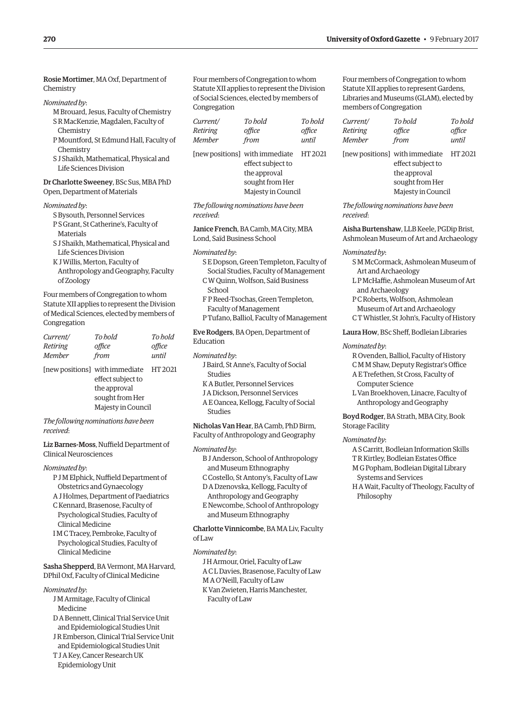Rosie Mortimer, MA Oxf, Department of Chemistry

*Nominated by*:

M Brouard, Jesus, Faculty of Chemistry S R MacKenzie, Magdalen, Faculty of

- Chemistry P Mountford, St Edmund Hall, Faculty of
- Chemistry
- S J Shaikh, Mathematical, Physical and Life Sciences Division

Dr Charlotte Sweeney, BSc Sus, MBA PhD Open, Department of Materials

#### *Nominated by*:

- S Bysouth, Personnel Services P S Grant, St Catherine's, Faculty of **Materials**
- S J Shaikh, Mathematical, Physical and Life Sciences Division
- K J Willis, Merton, Faculty of Anthropology and Geography, Faculty of Zoology

Four members of Congregation to whom Statute XII applies to represent the Division of Medical Sciences, elected by members of Congregation

| Current/      | To hold | To hold |
|---------------|---------|---------|
| Retiring      | office  | office  |
| <b>Member</b> | from    | until   |
|               |         |         |

[new positions] with immediate HT 2021 effect subject to the approval sought from Her Majesty in Council

*The following nominations have been received*:

Liz Barnes-Moss, Nuffield Department of Clinical Neurosciences

*Nominated by*:

- P J M Elphick, Nuffield Department of Obstetrics and Gynaecology
- A J Holmes, Department of Paediatrics
- C Kennard, Brasenose, Faculty of Psychological Studies, Faculty of Clinical Medicine
- I M C Tracey, Pembroke, Faculty of Psychological Studies, Faculty of Clinical Medicine

Sasha Shepperd, BA Vermont, MA Harvard, DPhil Oxf, Faculty of Clinical Medicine

#### *Nominated by*:

- J M Armitage, Faculty of Clinical Medicine
- D A Bennett, Clinical Trial Service Unit and Epidemiological Studies Unit
- J R Emberson, Clinical Trial Service Unit and Epidemiological Studies Unit
- T J A Key, Cancer Research UK
- Epidemiology Unit

Four members of Congregation to whom Statute XII applies to represent the Division of Social Sciences, elected by members of Congregation

| <i>Current/</i><br>Retiring<br>Member | To bold<br>office<br>from                           | To hold<br>office<br>until |
|---------------------------------------|-----------------------------------------------------|----------------------------|
|                                       | [new positions] with immediate<br>effect subject to | HT 2021                    |
|                                       | the approval                                        |                            |

sought from Her Majesty in Council

*The following nominations have been received*:

Janice French, BA Camb, MA City, MBA Lond, Saïd Business School

- *Nominated by*:
	- S E Dopson, Green Templeton, Faculty of Social Studies, Faculty of Management
	- C W Quinn, Wolfson, Saïd Business School
	- F P Reed-Tsochas, Green Templeton, Faculty of Management P Tufano, Balliol, Faculty of Management

Eve Rodgers, BA Open, Department of

Education

#### *Nominated by*:

- J Baird, St Anne's, Faculty of Social Studies
- K A Butler, Personnel Services
- J A Dickson, Personnel Services
- A E Oancea, Kellogg, Faculty of Social **Studies**

Nicholas Van Hear, BA Camb, PhD Birm, Faculty of Anthropology and Geography

#### *Nominated by*:

- B J Anderson, School of Anthropology
- and Museum Ethnography C Costello, St Antony's, Faculty of Law
- D A Dzenovska, Kellogg, Faculty of
- Anthropology and Geography
- E Newcombe, School of Anthropology and Museum Ethnography

#### Charlotte Vinnicombe, BA MA Liv, Faculty of Law

#### *Nominated by*:

J H Armour, Oriel, Faculty of Law A C L Davies, Brasenose, Faculty of Law M A O'Neill, Faculty of Law K Van Zwieten, Harris Manchester,

Faculty of Law

Four members of Congregation to whom Statute XII applies to represent Gardens, Libraries and Museums (GLAM), elected by members of Congregation

| To hold | To hold |
|---------|---------|
| office  | office  |
| from    | until   |
|         |         |

[new positions] with immediate HT 2021 effect subject to the approval sought from Her Majesty in Council

*The following nominations have been received*:

Aisha Burtenshaw, LLB Keele, PGDip Brist, Ashmolean Museum of Art and Archaeology

#### *Nominated by*:

- S M McCormack, Ashmolean Museum of Art and Archaeology
- L P McHaffie, Ashmolean Museum of Art and Archaeology
- P C Roberts, Wolfson, Ashmolean Museum of Art and Archaeology C T Whistler, St John's, Faculty of History

#### Laura How, BSc Sheff, Bodleian Libraries

#### *Nominated by*:

R Ovenden, Balliol, Faculty of History C M M Shaw, Deputy Registrar's Office

- A E Trefethen, St Cross, Faculty of Computer Science
- L Van Broekhoven, Linacre, Faculty of Anthropology and Geography

Boyd Rodger, BA Strath, MBA City, Book Storage Facility

#### *Nominated by*:

A S Carritt, Bodleian Information Skills

- T R Kirtley, Bodleian Estates Office
- M G Popham, Bodleian Digital Library Systems and Services

H A Wait, Faculty of Theology, Faculty of Philosophy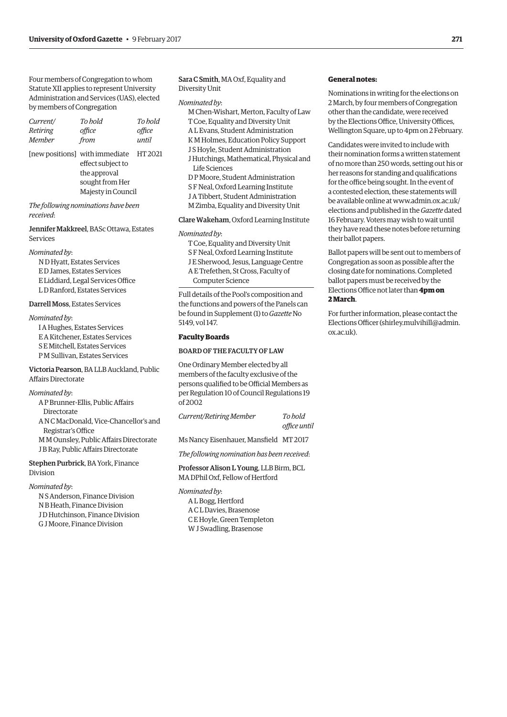Four members of Congregation to whom Statute XII applies to represent University Administration and Services (UAS), elected by members of Congregation

| Current/ | To hold | To hold |
|----------|---------|---------|
| Retiring | office  | office  |
| Member   | from    | until   |

[new positions] with immediate HT 2021 effect subject to the approval sought from Her Majesty in Council

*The following nominations have been received*:

Jennifer Makkreel, BASc Ottawa, Estates Services

*Nominated by*:

N D Hyatt, Estates Services E D James, Estates Services E Liddiard, Legal Services Office L D Ranford, Estates Services

#### Darrell Moss, Estates Services

*Nominated by*:

I A Hughes, Estates Services E A Kitchener, Estates Services S E Mitchell, Estates Services P M Sullivan, Estates Services

#### Victoria Pearson, BA LLB Auckland, Public Affairs Directorate

*Nominated by*:

- A P Brunner-Ellis, Public Affairs Directorate
- A N C MacDonald, Vice-Chancellor's and Registrar's Office
- M M Ounsley, Public Affairs Directorate J B Ray, Public Affairs Directorate

#### Stephen Purbrick, BA York, Finance Division

*Nominated by*:

- N S Anderson, Finance Division N B Heath, Finance Division J D Hutchinson, Finance Division
- G J Moore, Finance Division
- 

Sara C Smith, MA Oxf, Equality and Diversity Unit

#### *Nominated by*:

- M Chen-Wishart, Merton, Faculty of Law T Coe, Equality and Diversity Unit A L Evans, Student Administration K M Holmes, Education Policy Support J S Hoyle, Student Administration J Hutchings, Mathematical, Physical and Life Sciences
- D P Moore, Student Administration
- S F Neal, Oxford Learning Institute
- J A Tibbert, Student Administration
- M Zimba, Equality and Diversity Unit

#### Clare Wakeham, Oxford Learning Institute

#### *Nominated by*:

- T Coe, Equality and Diversity Unit
- S F Neal, Oxford Learning Institute
- J E Sherwood, Jesus, Language Centre
- A E Trefethen, St Cross, Faculty of Computer Science

Full details of the Pool's composition and the functions and powers of the Panels can [be found in Supplement \(1\) to](http://www.ox.ac.uk/gazette/2016-2017/17november2016-no5150/supplements/#245211) *Gazette* No 5149, vol 147.

#### **Faculty Boards**

#### BOARD OF THE FACULTY OF LAW

One Ordinary Member elected by all members of the faculty exclusive of the persons qualified to be Official Members as per Regulation 10 of Council Regulations 19 of 2002

*Current/Retiring Member To hold office until*

Ms Nancy Eisenhauer, Mansfield MT 2017

*The following nomination has been received*:

Professor Alison L Young, LLB Birm, BCL MA DPhil Oxf, Fellow of Hertford

*Nominated by*:

A L Bogg, Hertford A C L Davies, Brasenose C E Hoyle, Green Templeton W J Swadling, Brasenose

#### **General notes:**

Nominations in writing for the elections on 2 March, by four members of Congregation other than the candidate, were received by the Elections Office, University Offices, Wellington Square, up to 4pm on 2 February.

Candidates were invited to include with their nomination forms a written statement of no more than 250 words, setting out his or her reasons for standing and qualifications for the office being sought. In the event of a contested election, these statements will [be available online at www.admin.ox.ac.uk/](www.ox.ac.uk/elections) elections and published in the *Gazette* dated 16 February. Voters may wish to wait until they have read these notes before returning their ballot papers.

Ballot papers will be sent out to members of Congregation as soon as possible after the closing date for nominations. Completed ballot papers must be received by the Elections Office not later than **4pm on 2 March**.

For further information, please contact the Elections Officer [\(shirley.mulvihill@admin.](mailto:shirley.mulvihill@admin.ox.ac.uk) [ox.ac.uk\).](mailto:shirley.mulvihill@admin.ox.ac.uk)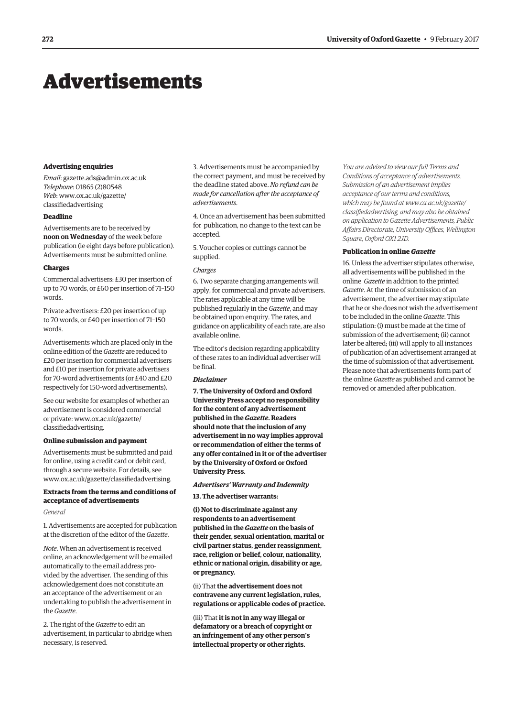## <span id="page-9-0"></span>Advertisements

#### **Advertising enquiries**

*Email*: [gazette.ads@admin.ox.ac.uk](mailto:gazette.ads@admin.ox.ac.uk) *Telephone*: 01865 (2)80548 *Web*[: www.ox.ac.uk/gazette/](www.ox.ac.uk/gazette/classifiedadvertising) classifiedadvertising

#### **Deadline**

Advertisements are to be received by **noon on Wednesday** of the week before publication (ie eight days before publication). Advertisements must be submitted online.

#### **Charges**

Commercial advertisers: £30 per insertion of up to 70 words, or £60 per insertion of 71–150 words.

Private advertisers: £20 per insertion of up to 70 words, or £40 per insertion of 71–150 words.

Advertisements which are placed only in the online edition of the *Gazette* are reduced to £20 per insertion for commercial advertisers and £10 per insertion for private advertisers for 70-word advertisements (or £40 and £20 respectively for 150-word advertisements).

See our website for examples of whether an advertisement is considered commercial [or private: www.ox.ac.uk/gazette/](www.ox.ac.uk/gazette/classifiedadvertising) classifiedadvertising.

#### **Online submission and payment**

Advertisements must be submitted and paid for online, using a credit card or debit card, through a secure website. For details, see [www.ox.ac.uk/gazette/classifiedadvertising.](http://www.ox.ac.uk/gazette/classifiedadvertising)

#### **Extracts from the terms and conditions of acceptance of advertisements**

#### *General*

1. Advertisements are accepted for publication at the discretion of the editor of the *Gazette*.

*Note*. When an advertisement is received online, an acknowledgement will be emailed automatically to the email address provided by the advertiser. The sending of this acknowledgement does not constitute an an acceptance of the advertisement or an undertaking to publish the advertisement in the *Gazette*.

2. The right of the *Gazette* to edit an advertisement, in particular to abridge when necessary, is reserved.

3. Advertisements must be accompanied by the correct payment, and must be received by the deadline stated above. *No refund can be made for cancellation after the acceptance of advertisements*.

4. Once an advertisement has been submitted for publication, no change to the text can be accepted.

5. Voucher copies or cuttings cannot be supplied.

#### *Charges*

6. Two separate charging arrangements will apply, for commercial and private advertisers. The rates applicable at any time will be published regularly in the *Gazette*, and may be obtained upon enquiry. The rates, and guidance on applicability of each rate, are also available online.

The editor's decision regarding applicability of these rates to an individual advertiser will be final.

#### *Disclaimer*

**7. The University of Oxford and Oxford University Press accept no responsibility for the content of any advertisement published in the** *Gazette***. Readers should note that the inclusion of any advertisement in no way implies approval or recommendation of either the terms of any offer contained in it or of the advertiser by the University of Oxford or Oxford University Press.**

#### *Advertisers' Warranty and Indemnity*

**13. The advertiser warrants:**

**(i) Not to discriminate against any respondents to an advertisement published in the** *Gazette* **on the basis of their gender, sexual orientation, marital or civil partner status, gender reassignment, race, religion or belief, colour, nationality, ethnic or national origin, disability or age, or pregnancy.**

(ii) That **the advertisement does not contravene any current legislation, rules, regulations or applicable codes of practice.** 

(iii) That **it is not in any way illegal or defamatory or a breach of copyright or an infringement of any other person's intellectual property or other rights.** 

*You are advised to view our full Terms and Conditions of acceptance of advertisements. Submission of an advertisement implies acceptance of our terms and conditions, which may be found at www.ox.ac.uk/gazette/ [classifiedadvertising, and may also be obtained](www.ox.ac.uk/gazette/classifiedadvertising)  on application to Gazette Advertisements, Public Affairs Directorate, University Offices, Wellington Square, Oxford OX1 2JD.*

#### **Publication in online** *Gazette*

16. Unless the advertiser stipulates otherwise, all advertisements will be published in the online *Gazette* in addition to the printed *Gazette*. At the time of submission of an advertisement, the advertiser may stipulate that he or she does not wish the advertisement to be included in the online *Gazette*. This stipulation: (i) must be made at the time of submission of the advertisement; (ii) cannot later be altered; (iii) will apply to all instances of publication of an advertisement arranged at the time of submission of that advertisement. Please note that advertisements form part of the online *Gazette* as published and cannot be removed or amended after publication.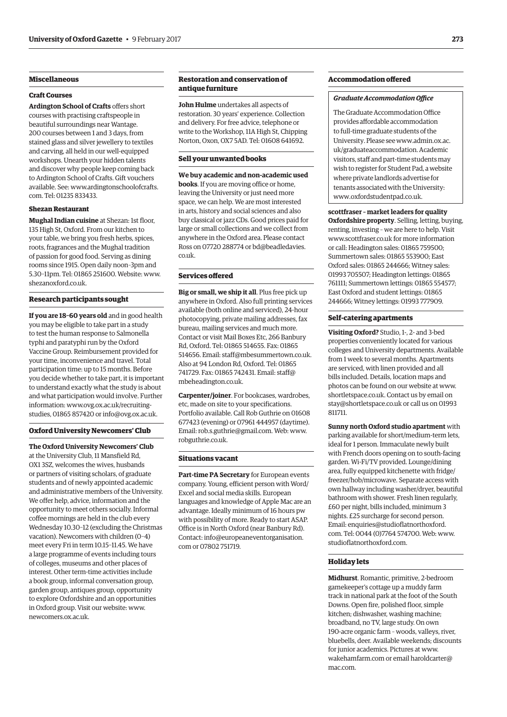#### **Miscellaneous**

#### **Craft Courses**

**Ardington School of Crafts** offers short courses with practising craftspeople in beautiful surroundings near Wantage. 200 courses between 1 and 3 days, from stained glass and silver jewellery to textiles and carving, all held in our well-equipped workshops. Unearth your hidden talents and discover why people keep coming back to Ardington School of Crafts. Gift vouchers [available. See: www.ardingtonschoolofcrafts.](www.ardingtonschoolofcrafts.com) com. Tel: 01235 833433.

#### **Shezan Restaurant**

**Mughal Indian cuisine** at Shezan: 1st floor, 135 High St, Oxford. From our kitchen to your table, we bring you fresh herbs, spices, roots, fragrances and the Mughal tradition of passion for good food. Serving as dining rooms since 1915. Open daily noon–3pm and 5.30–11pm. Tel: 01865 251600. Website: [www.](http://www.shezanoxford.co.uk) [shezanoxford.co.uk.](http://www.shezanoxford.co.uk)

#### **Research participants sought**

**If you are 18–60 years old** and in good health you may be eligible to take part in a study to test the human response to Salmonella typhi and paratyphi run by the Oxford Vaccine Group. Reimbursement provided for your time, inconvenience and travel. Total participation time: up to 15 months. Before you decide whether to take part, it is important to understand exactly what the study is about and what participation would involve. Further [information: www.ovg.ox.ac.uk/recruiting](www.ovg.ox.ac.uk/recruiting-studies)studies, 01865 857420 or [info@ovg.ox.ac.uk.](mailto:info@ovg.ox.ac.uk)

#### **Oxford University Newcomers' Club**

**The Oxford University Newcomers' Club** at the University Club, 11 Mansfield Rd, OX1 3SZ, welcomes the wives, husbands or partners of visiting scholars, of graduate students and of newly appointed academic and administrative members of the University. We offer help, advice, information and the opportunity to meet others socially. Informal coffee mornings are held in the club every Wednesday 10.30–12 (excluding the Christmas vacation). Newcomers with children (0–4) meet every Fri in term 10.15–11.45. We have a large programme of events including tours of colleges, museums and other places of interest. Other term-time activities include a book group, informal conversation group, garden group, antiques group, opportunity to explore Oxfordshire and an opportunities in Oxford group. Visit our website: [www.](http://www.newcomers.ox.ac.uk) [newcomers.ox.ac.uk.](http://www.newcomers.ox.ac.uk)

#### **Restoration and conservation of antique furniture**

**John Hulme** undertakes all aspects of restoration. 30 years' experience. Collection and delivery. For free advice, telephone or write to the Workshop, 11A High St, Chipping Norton, Oxon, OX7 5AD. Tel: 01608 641692.

#### **Sell your unwanted books**

**We buy academic and non-academic used books**. If you are moving office or home, leaving the University or just need more space, we can help. We are most interested in arts, history and social sciences and also buy classical or jazz CDs. Good prices paid for large or small collections and we collect from anywhere in the Oxford area. Please contact [Ross on 07720 288774 or bd@beadledavies.](mailto:bd@beadledavies.co.uk) co.uk.

#### **Services offered**

**Big or small, we ship it all**. Plus free pick up anywhere in Oxford. Also full printing services available (both online and serviced), 24-hour photocopying, private mailing addresses, fax bureau, mailing services and much more. Contact or visit Mail Boxes Etc, 266 Banbury Rd, Oxford. Tel: 01865 514655. Fax: 01865 514656. Email: [staff@mbesummertown.co.uk.](mailto:staff@mbesummertown.co.uk)  Also at 94 London Rd, Oxford. Tel: 01865 [741729. Fax: 01865 742431. Email: staff@](mailto:staff@mbeheadington.co.uk) mbeheadington.co.uk.

**Carpenter/joiner**. For bookcases, wardrobes, etc, made on site to your specifications. Portfolio available. Call Rob Guthrie on 01608 677423 (evening) or 07961 444957 (daytime). Email: [rob.s.guthrie@gmail.com. We](mailto:rob.s.guthrie@gmail.com)b: [www.](http://www.robguthrie.co.uk) [robguthrie.co.uk.](http://www.robguthrie.co.uk)

#### **Situations vacant**

**Part-time PA Secretary** for European events company. Young, efficient person with Word/ Excel and social media skills. European languages and knowledge of Apple Mac are an advantage. Ideally minimum of 16 hours pw with possibility of more. Ready to start ASAP. Office is in North Oxford (near Banbury Rd). [Contact: info@europeaneventorganisation.](mailto:info@europeaneventorganisation.com) com or 07802 751719.

#### **Accommodation offered**

#### *Graduate Accommodation Office*

The Graduate Accommodation Office provides affordable accommodation to full-time graduate students of the [University. Please see www.admin.ox.ac.](www.admin.ox.ac.uk/graduateaccommodation) uk/graduateaccommodation. Academic visitors, staff and part-time students may wish to register for Student Pad, a website where private landlords advertise for tenants associated with the University: [www.oxfordstudentpad.co.uk.](http://www.oxfordstudentpad.co.uk)

**scottfraser – market leaders for quality Oxfordshire property**. Selling, letting, buying, renting, investing – we are here to help. Visit [www.scottfraser.co.uk for](http://www.scottfraser.co.uk) more information or call: Headington sales: 01865 759500; Summertown sales: 01865 553900; East Oxford sales: 01865 244666; Witney sales: 01993 705507; Headington lettings: 01865 761111; Summertown lettings: 01865 554577; East Oxford and student lettings: 01865 244666; Witney lettings: 01993 777909.

#### **Self-catering apartments**

**Visiting Oxford?** Studio, 1-, 2- and 3-bed properties conveniently located for various colleges and University departments. Available from 1 week to several months. Apartments are serviced, with linen provided and all bills included. Details, location maps and photos can be found on our website at [www.](http://www.shortletspace.co.uk) [shortletspace.co.uk. Co](http://www.shortletspace.co.uk)ntact us by email on [stay@shortletspace.co.uk or](mailto:stay@shortletspace.co.uk) call us on 01993 811711.

**Sunny north Oxford studio apartment** with parking available for short/medium-term lets, ideal for 1 person. Immaculate newly built with French doors opening on to south-facing garden. Wi-Fi/TV provided. Lounge/dining area, fully equipped kitchenette with fridge/ freezer/hob/microwave. Separate access with own hallway including washer/dryer, beautiful bathroom with shower. Fresh linen regularly, £60 per night, bills included, minimum 3 nights. £25 surcharge for second person. Email: enquiries@studioflatnorthoxford. com. Tel: 0044 (0)7764 574700. Web: [www.](http://www.studioflatnorthoxford.com) [studioflatnorthoxford.com.](http://www.studioflatnorthoxford.com)

#### **Holiday lets**

**Midhurst**. Romantic, primitive, 2-bedroom gamekeeper's cottage up a muddy farm track in national park at the foot of the South Downs. Open fire, polished floor, simple kitchen; dishwasher, washing machine; broadband, no TV, large study. On own 190-acre organic farm – woods, valleys, river, bluebells, deer. Available weekends; discounts for junior academics. Pictures at [www.](http://www.wakehamfarm.com) [wakehamfarm.com or](http://www.wakehamfarm.com) e[mail haroldcarter@](mailto:haroldcarter@mac.com) mac.com.